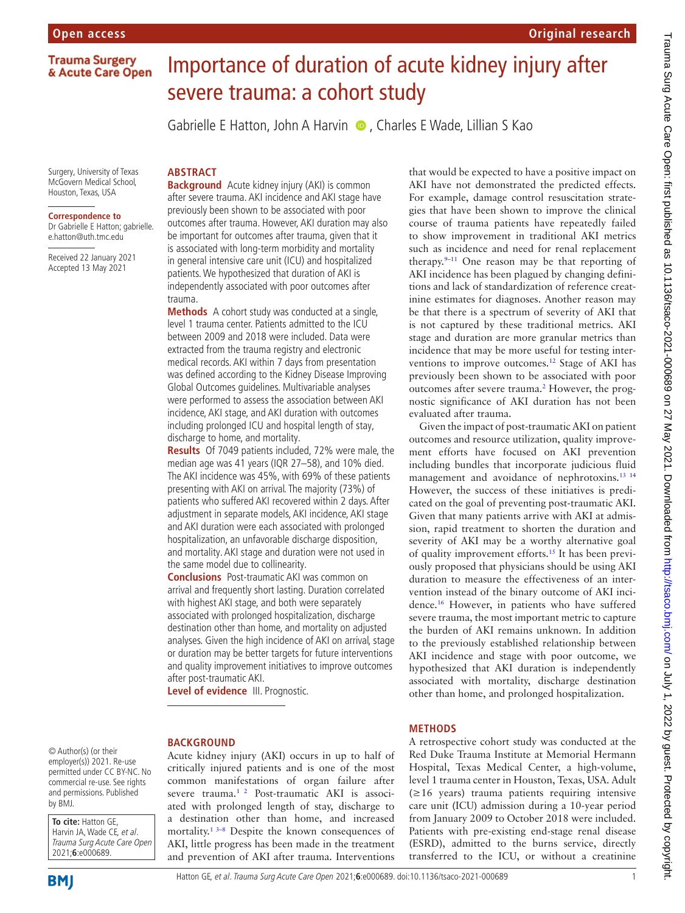**Trauma Surgery** & Acute Care Open

# Importance of duration of acute kidney injury after severe trauma: a cohort study

Gabrielle E Hatton, John A Harvin (D), Charles E Wade, Lillian S Kao

Surgery, University of Texas McGovern Medical School, Houston, Texas, USA

#### **Correspondence to**

Dr Gabrielle E Hatton; gabrielle. e.hatton@uth.tmc.edu

Received 22 January 2021 Accepted 13 May 2021

**Background** Acute kidney injury (AKI) is common after severe trauma. AKI incidence and AKI stage have previously been shown to be associated with poor outcomes after trauma. However, AKI duration may also be important for outcomes after trauma, given that it is associated with long-term morbidity and mortality in general intensive care unit (ICU) and hospitalized patients. We hypothesized that duration of AKI is independently associated with poor outcomes after trauma.

**ABSTRACT**

**Methods** A cohort study was conducted at a single, level 1 trauma center. Patients admitted to the ICU between 2009 and 2018 were included. Data were extracted from the trauma registry and electronic medical records. AKI within 7 days from presentation was defined according to the Kidney Disease Improving Global Outcomes guidelines. Multivariable analyses were performed to assess the association between AKI incidence, AKI stage, and AKI duration with outcomes including prolonged ICU and hospital length of stay, discharge to home, and mortality.

**Results** Of 7049 patients included, 72% were male, the median age was 41 years (IQR 27–58), and 10% died. The AKI incidence was 45%, with 69% of these patients presenting with AKI on arrival. The majority (73%) of patients who suffered AKI recovered within 2 days. After adjustment in separate models, AKI incidence, AKI stage and AKI duration were each associated with prolonged hospitalization, an unfavorable discharge disposition, and mortality. AKI stage and duration were not used in the same model due to collinearity.

**Conclusions** Post-traumatic AKI was common on arrival and frequently short lasting. Duration correlated with highest AKI stage, and both were separately associated with prolonged hospitalization, discharge destination other than home, and mortality on adjusted analyses. Given the high incidence of AKI on arrival, stage or duration may be better targets for future interventions and quality improvement initiatives to improve outcomes after post-traumatic AKI.

**Level of evidence** III. Prognostic.

#### **BACKGROUND**

© Author(s) (or their employer(s)) 2021. Re-use permitted under CC BY-NC. No commercial re-use. See rights and permissions. Published by BMJ.

**To cite:** Hatton GE, Harvin JA, Wade CE, et al. Trauma Surg Acute Care Open 2021;**6**:e000689.



Acute kidney injury (AKI) occurs in up to half of critically injured patients and is one of the most common manifestations of organ failure after severe trauma.<sup>[1 2](#page-4-0)</sup> Post-traumatic AKI is associated with prolonged length of stay, discharge to a destination other than home, and increased mortality.<sup>[1 3–8](#page-4-0)</sup> Despite the known consequences of AKI, little progress has been made in the treatment and prevention of AKI after trauma. Interventions

that would be expected to have a positive impact on AKI have not demonstrated the predicted effects. For example, damage control resuscitation strategies that have been shown to improve the clinical course of trauma patients have repeatedly failed to show improvement in traditional AKI metrics such as incidence and need for renal replacement therapy. $9-11$  One reason may be that reporting of AKI incidence has been plagued by changing definitions and lack of standardization of reference creatinine estimates for diagnoses. Another reason may be that there is a spectrum of severity of AKI that is not captured by these traditional metrics. AKI stage and duration are more granular metrics than incidence that may be more useful for testing inter-ventions to improve outcomes.<sup>[12](#page-4-2)</sup> Stage of AKI has previously been shown to be associated with poor outcomes after severe trauma.<sup>[2](#page-4-3)</sup> However, the prognostic significance of AKI duration has not been evaluated after trauma.

**Original research**

Given the impact of post-traumatic AKI on patient outcomes and resource utilization, quality improvement efforts have focused on AKI prevention including bundles that incorporate judicious fluid management and avoidance of nephrotoxins.[13 14](#page-4-4) However, the success of these initiatives is predicated on the goal of preventing post-traumatic AKI. Given that many patients arrive with AKI at admission, rapid treatment to shorten the duration and severity of AKI may be a worthy alternative goal of quality improvement efforts[.15](#page-4-5) It has been previously proposed that physicians should be using AKI duration to measure the effectiveness of an intervention instead of the binary outcome of AKI incidence.[16](#page-4-6) However, in patients who have suffered severe trauma, the most important metric to capture the burden of AKI remains unknown. In addition to the previously established relationship between AKI incidence and stage with poor outcome, we hypothesized that AKI duration is independently associated with mortality, discharge destination other than home, and prolonged hospitalization.

## **METHODS**

A retrospective cohort study was conducted at the Red Duke Trauma Institute at Memorial Hermann Hospital, Texas Medical Center, a high-volume, level 1 trauma center in Houston, Texas, USA. Adult (≥16 years) trauma patients requiring intensive care unit (ICU) admission during a 10-year period from January 2009 to October 2018 were included. Patients with pre-existing end-stage renal disease (ESRD), admitted to the burns service, directly transferred to the ICU, or without a creatinine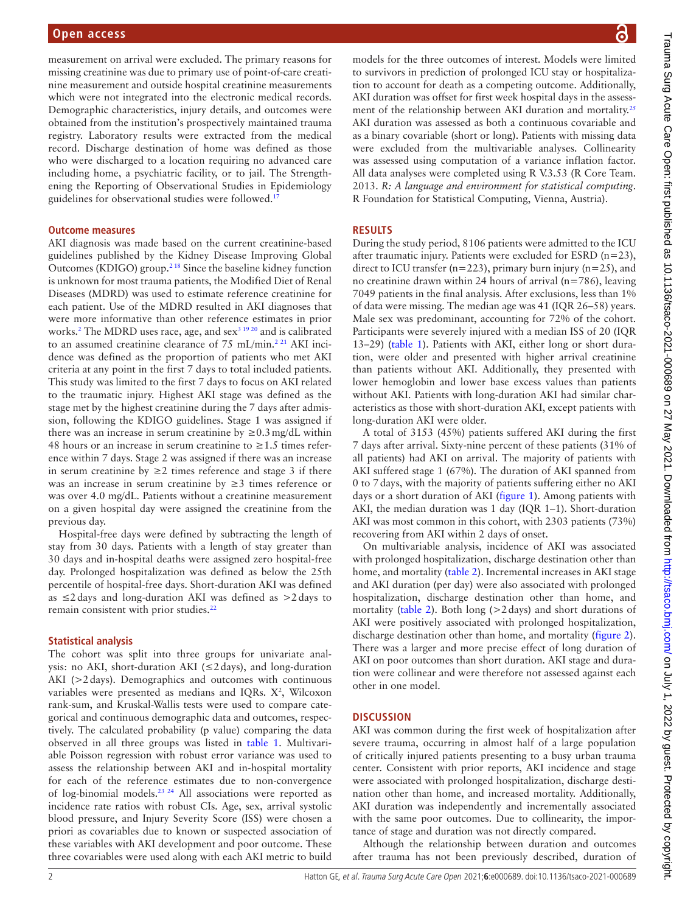measurement on arrival were excluded. The primary reasons for missing creatinine was due to primary use of point-of-care creatinine measurement and outside hospital creatinine measurements which were not integrated into the electronic medical records. Demographic characteristics, injury details, and outcomes were obtained from the institution's prospectively maintained trauma registry. Laboratory results were extracted from the medical record. Discharge destination of home was defined as those who were discharged to a location requiring no advanced care including home, a psychiatric facility, or to jail. The Strengthening the Reporting of Observational Studies in Epidemiology guidelines for observational studies were followed.<sup>17</sup>

#### **Outcome measures**

AKI diagnosis was made based on the current creatinine-based guidelines published by the Kidney Disease Improving Global Outcomes (KDIGO) group[.2 18](#page-4-3) Since the baseline kidney function is unknown for most trauma patients, the Modified Diet of Renal Diseases (MDRD) was used to estimate reference creatinine for each patient. Use of the MDRD resulted in AKI diagnoses that were more informative than other reference estimates in prior works.<sup>[2](#page-4-3)</sup> The MDRD uses race, age, and sex<sup>[3 19 20](#page-4-8)</sup> and is calibrated to an assumed creatinine clearance of 75 mL/min.<sup>2 21</sup> AKI incidence was defined as the proportion of patients who met AKI criteria at any point in the first 7 days to total included patients. This study was limited to the first 7 days to focus on AKI related to the traumatic injury. Highest AKI stage was defined as the stage met by the highest creatinine during the 7 days after admission, following the KDIGO guidelines. Stage 1 was assigned if there was an increase in serum creatinine by  $\geq 0.3$  mg/dL within 48 hours or an increase in serum creatinine to  $\geq 1.5$  times reference within 7 days. Stage 2 was assigned if there was an increase in serum creatinine by  $\geq 2$  times reference and stage 3 if there was an increase in serum creatinine by ≥3 times reference or was over 4.0 mg/dL. Patients without a creatinine measurement on a given hospital day were assigned the creatinine from the previous day.

Hospital-free days were defined by subtracting the length of stay from 30 days. Patients with a length of stay greater than 30 days and in-hospital deaths were assigned zero hospital-free day. Prolonged hospitalization was defined as below the 25th percentile of hospital-free days. Short-duration AKI was defined as ≤2days and long-duration AKI was defined as >2days to remain consistent with prior studies.[22](#page-5-0)

#### **Statistical analysis**

The cohort was split into three groups for univariate analysis: no AKI, short-duration AKI (≤2days), and long-duration AKI (>2days). Demographics and outcomes with continuous variables were presented as medians and IQRs.  $X^2$ , Wilcoxon rank-sum, and Kruskal-Wallis tests were used to compare categorical and continuous demographic data and outcomes, respectively. The calculated probability (p value) comparing the data observed in all three groups was listed in [table](#page-2-0) 1. Multivariable Poisson regression with robust error variance was used to assess the relationship between AKI and in-hospital mortality for each of the reference estimates due to non-convergence of log-binomial models[.23 24](#page-5-1) All associations were reported as incidence rate ratios with robust CIs. Age, sex, arrival systolic blood pressure, and Injury Severity Score (ISS) were chosen a priori as covariables due to known or suspected association of these variables with AKI development and poor outcome. These three covariables were used along with each AKI metric to build

models for the three outcomes of interest. Models were limited to survivors in prediction of prolonged ICU stay or hospitalization to account for death as a competing outcome. Additionally, AKI duration was offset for first week hospital days in the assessment of the relationship between AKI duration and mortality.<sup>25</sup> AKI duration was assessed as both a continuous covariable and as a binary covariable (short or long). Patients with missing data were excluded from the multivariable analyses. Collinearity was assessed using computation of a variance inflation factor. All data analyses were completed using R V.3.53 (R Core Team. 2013. *R: A language and environment for statistical computing*. R Foundation for Statistical Computing, Vienna, Austria).

#### **RESULTS**

During the study period, 8106 patients were admitted to the ICU after traumatic injury. Patients were excluded for ESRD  $(n=23)$ , direct to ICU transfer ( $n=223$ ), primary burn injury ( $n=25$ ), and no creatinine drawn within 24 hours of arrival (n=786), leaving 7049 patients in the final analysis. After exclusions, less than 1% of data were missing. The median age was 41 (IQR 26–58) years. Male sex was predominant, accounting for 72% of the cohort. Participants were severely injured with a median ISS of 20 (IQR 13–29) ([table](#page-2-0) 1). Patients with AKI, either long or short duration, were older and presented with higher arrival creatinine than patients without AKI. Additionally, they presented with lower hemoglobin and lower base excess values than patients without AKI. Patients with long-duration AKI had similar characteristics as those with short-duration AKI, except patients with long-duration AKI were older.

A total of 3153 (45%) patients suffered AKI during the first 7 days after arrival. Sixty-nine percent of these patients (31% of all patients) had AKI on arrival. The majority of patients with AKI suffered stage 1 (67%). The duration of AKI spanned from 0 to 7days, with the majority of patients suffering either no AKI days or a short duration of AKI [\(figure](#page-3-0) 1). Among patients with AKI, the median duration was 1 day (IQR 1–1). Short-duration AKI was most common in this cohort, with 2303 patients (73%) recovering from AKI within 2 days of onset.

On multivariable analysis, incidence of AKI was associated with prolonged hospitalization, discharge destination other than home, and mortality ([table](#page-3-1) 2). Incremental increases in AKI stage and AKI duration (per day) were also associated with prolonged hospitalization, discharge destination other than home, and mortality [\(table](#page-3-1) 2). Both long (>2 days) and short durations of AKI were positively associated with prolonged hospitalization, discharge destination other than home, and mortality ([figure](#page-4-9) 2). There was a larger and more precise effect of long duration of AKI on poor outcomes than short duration. AKI stage and duration were collinear and were therefore not assessed against each other in one model.

#### **DISCUSSION**

AKI was common during the first week of hospitalization after severe trauma, occurring in almost half of a large population of critically injured patients presenting to a busy urban trauma center. Consistent with prior reports, AKI incidence and stage were associated with prolonged hospitalization, discharge destination other than home, and increased mortality. Additionally, AKI duration was independently and incrementally associated with the same poor outcomes. Due to collinearity, the importance of stage and duration was not directly compared.

Although the relationship between duration and outcomes after trauma has not been previously described, duration of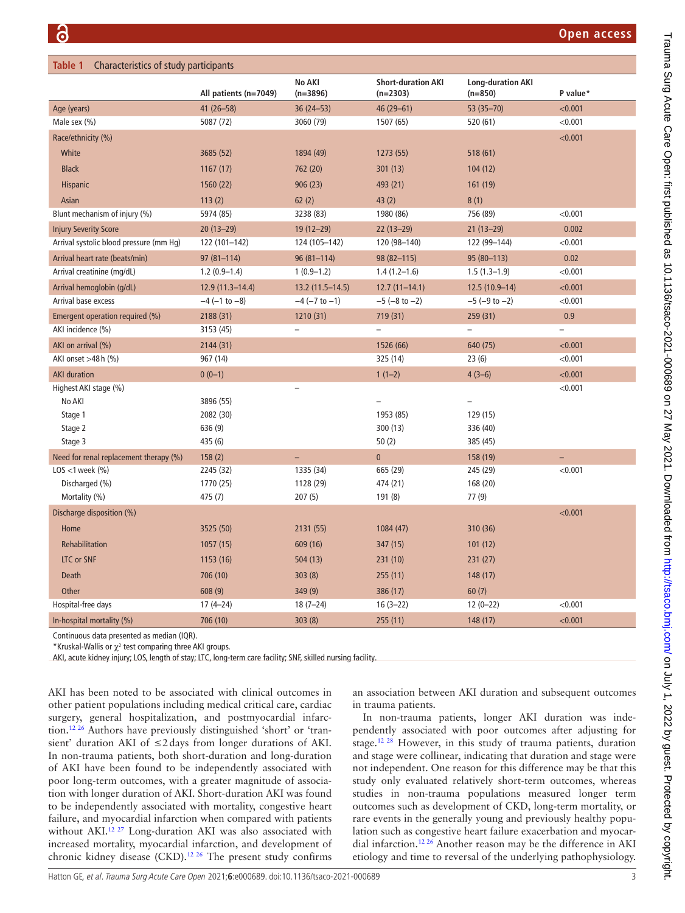<span id="page-2-0"></span>

| Characteristics of study participants<br>Table 1 |                        |                             |                                         |                                       |                          |
|--------------------------------------------------|------------------------|-----------------------------|-----------------------------------------|---------------------------------------|--------------------------|
|                                                  | All patients (n=7049)  | <b>No AKI</b><br>$(n=3896)$ | <b>Short-duration AKI</b><br>$(n=2303)$ | <b>Long-duration AKI</b><br>$(n=850)$ | P value*                 |
| Age (years)                                      | 41 (26-58)             | $36(24 - 53)$               | 46 (29-61)                              | 53 (35-70)                            | < 0.001                  |
| Male sex (%)                                     | 5087 (72)              | 3060 (79)                   | 1507 (65)                               | 520 (61)                              | < 0.001                  |
| Race/ethnicity (%)                               |                        |                             |                                         |                                       | < 0.001                  |
| White                                            | 3685 (52)              | 1894 (49)                   | 1273 (55)                               | 518 (61)                              |                          |
| <b>Black</b>                                     | 1167(17)               | 762 (20)                    | 301(13)                                 | 104(12)                               |                          |
| <b>Hispanic</b>                                  | 1560 (22)              | 906(23)                     | 493 (21)                                | 161 (19)                              |                          |
| Asian                                            | 113(2)                 | 62(2)                       | 43(2)                                   | 8(1)                                  |                          |
| Blunt mechanism of injury (%)                    | 5974 (85)              | 3238 (83)                   | 1980 (86)                               | 756 (89)                              | < 0.001                  |
| <b>Injury Severity Score</b>                     | $20(13 - 29)$          | $19(12 - 29)$               | $22(13-29)$                             | $21(13-29)$                           | 0.002                    |
| Arrival systolic blood pressure (mm Hg)          | 122 (101-142)          | 124 (105-142)               | 120 (98-140)                            | 122 (99-144)                          | < 0.001                  |
| Arrival heart rate (beats/min)                   | $97(81 - 114)$         | $96(81 - 114)$              | $98(82 - 115)$                          | $95(80-113)$                          | 0.02                     |
| Arrival creatinine (mg/dL)                       | $1.2(0.9-1.4)$         | $1(0.9-1.2)$                | $1.4(1.2-1.6)$                          | $1.5(1.3-1.9)$                        | < 0.001                  |
| Arrival hemoglobin (g/dL)                        | 12.9 (11.3-14.4)       | 13.2 (11.5-14.5)            | $12.7(11-14.1)$                         | $12.5(10.9-14)$                       | < 0.001                  |
| Arrival base excess                              | $-4$ ( $-1$ to $-8$ )  | $-4$ ( $-7$ to $-1$ )       | $-5$ ( $-8$ to $-2$ )                   | $-5$ ( $-9$ to $-2$ )                 | < 0.001                  |
| Emergent operation required (%)                  | 2188 (31)              | 1210 (31)                   | 719 (31)                                | 259 (31)                              | 0.9                      |
| AKI incidence (%)                                | 3153 (45)              | $\qquad \qquad -$           | $\overline{\phantom{0}}$                | $\overline{a}$                        | $\overline{\phantom{0}}$ |
| AKI on arrival (%)                               | 2144 (31)              |                             | 1526 (66)                               | 640 (75)                              | < 0.001                  |
| AKI onset >48h (%)                               | 967 (14)               |                             | 325 (14)                                | 23(6)                                 | < 0.001                  |
| <b>AKI</b> duration                              | $0(0-1)$               |                             | $1(1-2)$                                | $4(3-6)$                              | < 0.001                  |
| Highest AKI stage (%)                            |                        |                             |                                         |                                       | < 0.001                  |
| No AKI                                           | 3896 (55)              |                             |                                         | $\overline{\phantom{0}}$              |                          |
| Stage 1                                          | 2082 (30)              |                             | 1953 (85)                               | 129 (15)                              |                          |
| Stage 2                                          | 636 (9)                |                             | 300(13)                                 | 336 (40)                              |                          |
| Stage 3                                          | 435 (6)                |                             | 50(2)                                   | 385 (45)                              |                          |
| Need for renal replacement therapy (%)           | 158(2)                 | $\equiv$                    | $\mathbf{0}$                            | 158 (19)                              | ÷,<br>< 0.001            |
| LOS <1 week $(\% )$<br>Discharged (%)            | 2245 (32)<br>1770 (25) | 1335 (34)<br>1128 (29)      | 665 (29)<br>474 (21)                    | 245 (29)<br>168 (20)                  |                          |
| Mortality (%)                                    | 475 (7)                | 207(5)                      | 191(8)                                  | 77 (9)                                |                          |
| Discharge disposition (%)                        |                        |                             |                                         |                                       | < 0.001                  |
| Home                                             | 3525 (50)              | 2131 (55)                   | 1084 (47)                               | 310 (36)                              |                          |
| Rehabilitation                                   | 1057 (15)              | 609 (16)                    | 347 (15)                                | 101(12)                               |                          |
|                                                  |                        |                             |                                         |                                       |                          |
| LTC or SNF                                       | 1153 (16)              | 504(13)                     | 231(10)                                 | 231(27)                               |                          |
| <b>Death</b>                                     | 706 (10)               | 303(8)                      | 255(11)                                 | 148(17)                               |                          |
| Other                                            | 608(9)                 | 349 (9)                     | 386 (17)                                | 60(7)                                 |                          |
| Hospital-free days                               | $17(4-24)$             | $18(7-24)$                  | $16(3-22)$                              | $12(0-22)$                            | < 0.001                  |
| In-hospital mortality (%)                        | 706 (10)               | 303(8)                      | 255(11)                                 | 148 (17)                              | < 0.001                  |

Continuous data presented as median (IQR).

\*Kruskal-Wallis or  $\chi^2$  test comparing three AKI groups.

AKI, acute kidney injury; LOS, length of stay; LTC, long-term care facility; SNF, skilled nursing facility.

AKI has been noted to be associated with clinical outcomes in other patient populations including medical critical care, cardiac surgery, general hospitalization, and postmyocardial infarction.[12 26](#page-4-2) Authors have previously distinguished 'short' or 'transient' duration AKI of ≤2days from longer durations of AKI. In non-trauma patients, both short-duration and long-duration of AKI have been found to be independently associated with poor long-term outcomes, with a greater magnitude of association with longer duration of AKI. Short-duration AKI was found to be independently associated with mortality, congestive heart failure, and myocardial infarction when compared with patients without AKI.<sup>12 27</sup> Long-duration AKI was also associated with increased mortality, myocardial infarction, and development of chronic kidney disease (CKD).<sup>[12 26](#page-4-2)</sup> The present study confirms

an association between AKI duration and subsequent outcomes in trauma patients.

In non-trauma patients, longer AKI duration was independently associated with poor outcomes after adjusting for stage.<sup>12 28</sup> However, in this study of trauma patients, duration and stage were collinear, indicating that duration and stage were not independent. One reason for this difference may be that this study only evaluated relatively short-term outcomes, whereas studies in non-trauma populations measured longer term outcomes such as development of CKD, long-term mortality, or rare events in the generally young and previously healthy population such as congestive heart failure exacerbation and myocardial infarction.[12 26](#page-4-2) Another reason may be the difference in AKI etiology and time to reversal of the underlying pathophysiology.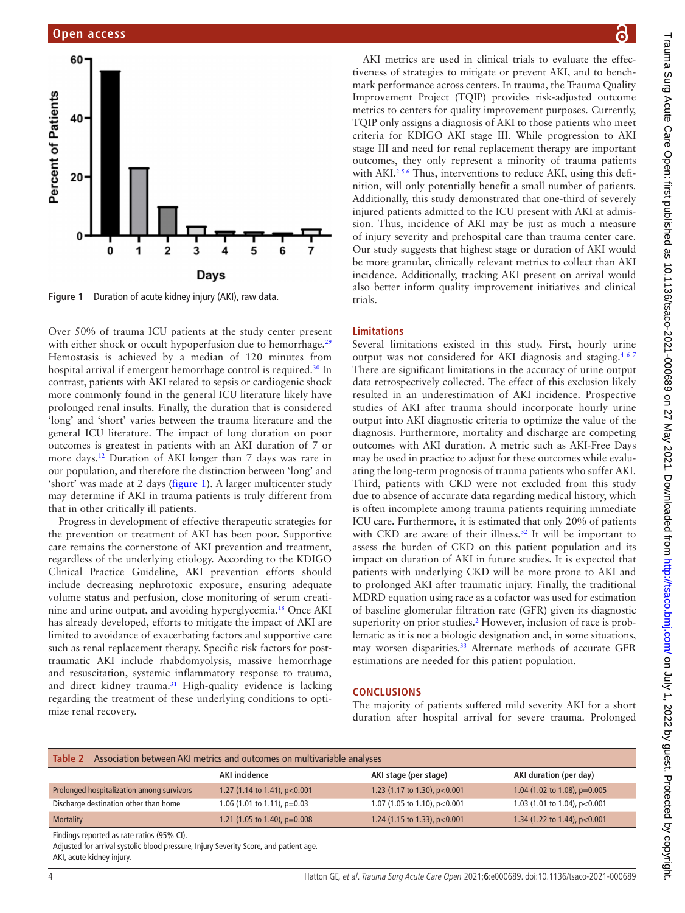

<span id="page-3-0"></span>**Figure 1** Duration of acute kidney injury (AKI), raw data.

Over 50% of trauma ICU patients at the study center present with either shock or occult hypoperfusion due to hemorrhage.<sup>[29](#page-5-3)</sup> Hemostasis is achieved by a median of 120 minutes from hospital arrival if emergent hemorrhage control is required[.30](#page-5-4) In contrast, patients with AKI related to sepsis or cardiogenic shock more commonly found in the general ICU literature likely have prolonged renal insults. Finally, the duration that is considered 'long' and 'short' varies between the trauma literature and the general ICU literature. The impact of long duration on poor outcomes is greatest in patients with an AKI duration of 7 or more days[.12](#page-4-2) Duration of AKI longer than 7 days was rare in our population, and therefore the distinction between 'long' and 'short' was made at 2 days ([figure](#page-3-0) 1). A larger multicenter study may determine if AKI in trauma patients is truly different from that in other critically ill patients.

Progress in development of effective therapeutic strategies for the prevention or treatment of AKI has been poor. Supportive care remains the cornerstone of AKI prevention and treatment, regardless of the underlying etiology. According to the KDIGO Clinical Practice Guideline, AKI prevention efforts should include decreasing nephrotoxic exposure, ensuring adequate volume status and perfusion, close monitoring of serum creatinine and urine output, and avoiding hyperglycemia.[18](#page-4-10) Once AKI has already developed, efforts to mitigate the impact of AKI are limited to avoidance of exacerbating factors and supportive care such as renal replacement therapy. Specific risk factors for posttraumatic AKI include rhabdomyolysis, massive hemorrhage and resuscitation, systemic inflammatory response to trauma, and direct kidney trauma.<sup>31</sup> High-quality evidence is lacking regarding the treatment of these underlying conditions to optimize renal recovery.

AKI metrics are used in clinical trials to evaluate the effectiveness of strategies to mitigate or prevent AKI, and to benchmark performance across centers. In trauma, the Trauma Quality Improvement Project (TQIP) provides risk-adjusted outcome metrics to centers for quality improvement purposes. Currently, TQIP only assigns a diagnosis of AKI to those patients who meet criteria for KDIGO AKI stage III. While progression to AKI stage III and need for renal replacement therapy are important outcomes, they only represent a minority of trauma patients with AKI.<sup>256</sup> Thus, interventions to reduce AKI, using this definition, will only potentially benefit a small number of patients. Additionally, this study demonstrated that one-third of severely injured patients admitted to the ICU present with AKI at admission. Thus, incidence of AKI may be just as much a measure of injury severity and prehospital care than trauma center care. Our study suggests that highest stage or duration of AKI would be more granular, clinically relevant metrics to collect than AKI incidence. Additionally, tracking AKI present on arrival would also better inform quality improvement initiatives and clinical trials.

## **Limitations**

Several limitations existed in this study. First, hourly urine output was not considered for AKI diagnosis and staging.<sup>467</sup> There are significant limitations in the accuracy of urine output data retrospectively collected. The effect of this exclusion likely resulted in an underestimation of AKI incidence. Prospective studies of AKI after trauma should incorporate hourly urine output into AKI diagnostic criteria to optimize the value of the diagnosis. Furthermore, mortality and discharge are competing outcomes with AKI duration. A metric such as AKI-Free Days may be used in practice to adjust for these outcomes while evaluating the long-term prognosis of trauma patients who suffer AKI. Third, patients with CKD were not excluded from this study due to absence of accurate data regarding medical history, which is often incomplete among trauma patients requiring immediate ICU care. Furthermore, it is estimated that only 20% of patients with CKD are aware of their illness.<sup>32</sup> It will be important to assess the burden of CKD on this patient population and its impact on duration of AKI in future studies. It is expected that patients with underlying CKD will be more prone to AKI and to prolonged AKI after traumatic injury. Finally, the traditional MDRD equation using race as a cofactor was used for estimation of baseline glomerular filtration rate (GFR) given its diagnostic superiority on prior studies.<sup>2</sup> However, inclusion of race is problematic as it is not a biologic designation and, in some situations, may worsen disparities.<sup>33</sup> Alternate methods of accurate GFR estimations are needed for this patient population.

## **CONCLUSIONS**

The majority of patients suffered mild severity AKI for a short duration after hospital arrival for severe trauma. Prolonged

<span id="page-3-1"></span>

| Association between AKI metrics and outcomes on multivariable analyses<br>Table 2                                                                                                                                                                                               |                                         |                                |                                |  |  |  |
|---------------------------------------------------------------------------------------------------------------------------------------------------------------------------------------------------------------------------------------------------------------------------------|-----------------------------------------|--------------------------------|--------------------------------|--|--|--|
|                                                                                                                                                                                                                                                                                 | <b>AKI</b> incidence                    | AKI stage (per stage)          | AKI duration (per day)         |  |  |  |
| Prolonged hospitalization among survivors                                                                                                                                                                                                                                       | 1.27 (1.14 to 1.41), $p<0.001$          | 1.23 (1.17 to 1.30), p<0.001   | 1.04 (1.02 to 1.08), $p=0.005$ |  |  |  |
| Discharge destination other than home                                                                                                                                                                                                                                           | 1.06 $(1.01 \text{ to } 1.11)$ , p=0.03 | 1.07 (1.05 to 1.10), $p<0.001$ | 1.03 (1.01 to 1.04), p<0.001   |  |  |  |
| <b>Mortality</b>                                                                                                                                                                                                                                                                | 1.21 (1.05 to 1.40), $p=0.008$          | 1.24 (1.15 to 1.33), $p<0.001$ | 1.34 (1.22 to 1.44), p<0.001   |  |  |  |
| Findings reported as rate ratios (95% CI).<br>$\mathbf{A}$ . It is the set of the set of the set of the set of the set of the set of the set of the set of the set of the set of the set of the set of the set of the set of the set of the set of the set of the set of the se |                                         |                                |                                |  |  |  |

Adjusted for arrival systolic blood pressure, Injury Severity Score, and patient age. AKI, acute kidney injury.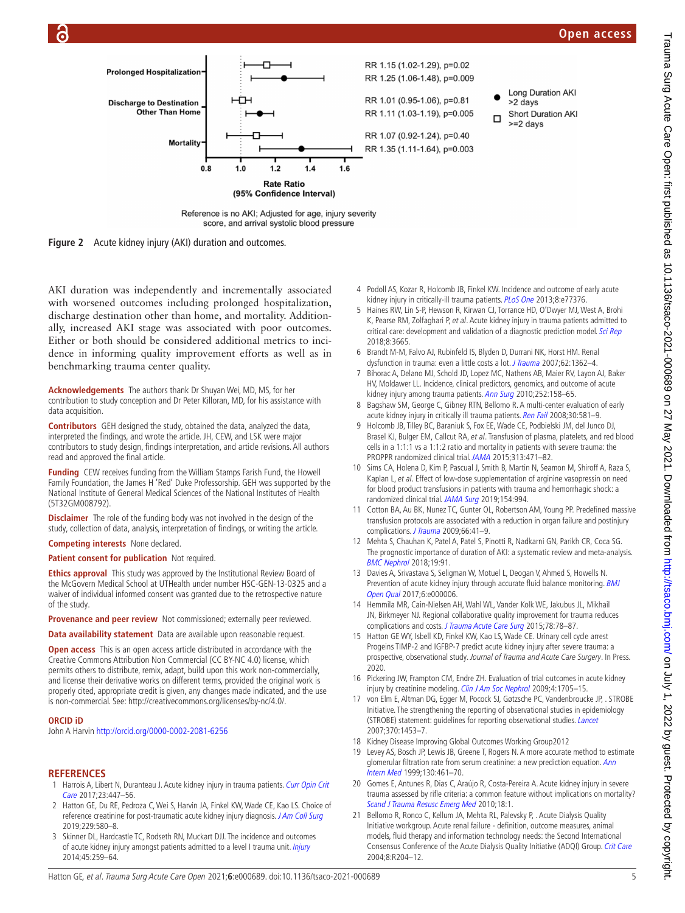# **Open access**



<span id="page-4-9"></span>Reference is no AKI; Adjusted for age, injury severity score, and arrival systolic blood pressure



AKI duration was independently and incrementally associated with worsened outcomes including prolonged hospitalization, discharge destination other than home, and mortality. Additionally, increased AKI stage was associated with poor outcomes. Either or both should be considered additional metrics to incidence in informing quality improvement efforts as well as in benchmarking trauma center quality.

**Acknowledgements** The authors thank Dr Shuyan Wei, MD, MS, for her contribution to study conception and Dr Peter Killoran, MD, for his assistance with data acquisition.

**Contributors** GEH designed the study, obtained the data, analyzed the data, interpreted the findings, and wrote the article. JH, CEW, and LSK were major contributors to study design, findings interpretation, and article revisions. All authors read and approved the final article.

**Funding** CEW receives funding from the William Stamps Farish Fund, the Howell Family Foundation, the James H<sup>'</sup>Red' Duke Professorship. GEH was supported by the National Institute of General Medical Sciences of the National Institutes of Health (5T32GM008792).

**Disclaimer** The role of the funding body was not involved in the design of the study, collection of data, analysis, interpretation of findings, or writing the article.

**Competing interests** None declared.

**Patient consent for publication** Not required.

**Ethics approval** This study was approved by the Institutional Review Board of the McGovern Medical School at UTHealth under number HSC-GEN-13-0325 and a waiver of individual informed consent was granted due to the retrospective nature of the study.

**Provenance and peer review** Not commissioned; externally peer reviewed.

**Data availability statement** Data are available upon reasonable request.

**Open access** This is an open access article distributed in accordance with the Creative Commons Attribution Non Commercial (CC BY-NC 4.0) license, which permits others to distribute, remix, adapt, build upon this work non-commercially, and license their derivative works on different terms, provided the original work is properly cited, appropriate credit is given, any changes made indicated, and the use is non-commercial. See: <http://creativecommons.org/licenses/by-nc/4.0/>.

#### **ORCID iD**

John A Harvin <http://orcid.org/0000-0002-2081-6256>

## **REFERENCES**

- <span id="page-4-0"></span>1 Harrois A, Libert N, Duranteau J. Acute kidney injury in trauma patients. Curr Opin Crit [Care](http://dx.doi.org/10.1097/MCC.0000000000000463) 2017;23:447–56.
- <span id="page-4-3"></span>2 Hatton GE, Du RE, Pedroza C, Wei S, Harvin JA, Finkel KW, Wade CE, Kao LS. Choice of reference creatinine for post-traumatic acute kidney injury diagnosis. [J Am Coll Surg](http://dx.doi.org/10.1016/j.jamcollsurg.2019.08.1447) 2019;229:580–8.
- <span id="page-4-8"></span>3 Skinner DL, Hardcastle TC, Rodseth RN, Muckart DJJ. The incidence and outcomes of acute kidney injury amongst patients admitted to a level I trauma unit. [Injury](http://dx.doi.org/10.1016/j.injury.2013.07.013) 2014;45:259–64.
- <span id="page-4-11"></span>4 Podoll AS, Kozar R, Holcomb JB, Finkel KW. Incidence and outcome of early acute kidney injury in critically-ill trauma patients. [PLoS One](http://dx.doi.org/10.1371/journal.pone.0077376) 2013;8:e77376.
- 5 Haines RW, Lin S-P, Hewson R, Kirwan CJ, Torrance HD, O'Dwyer MJ, West A, Brohi K, Pearse RM, Zolfaghari P, et al. Acute kidney injury in trauma patients admitted to critical care: development and validation of a diagnostic prediction model. [Sci Rep](http://dx.doi.org/10.1038/s41598-018-21929-2) 2018;8:3665.
- 6 Brandt M-M, Falvo AJ, Rubinfeld IS, Blyden D, Durrani NK, Horst HM. Renal dysfunction in trauma: even a little costs a lot. *[J Trauma](http://dx.doi.org/10.1097/TA.0b013e318047983d)* 2007;62:1362-4.
- 7 Bihorac A, Delano MJ, Schold JD, Lopez MC, Nathens AB, Maier RV, Layon AJ, Baker HV, Moldawer LL. Incidence, clinical predictors, genomics, and outcome of acute kidney injury among trauma patients. [Ann Surg](http://dx.doi.org/10.1097/SLA.0b013e3181deb6bc) 2010;252:158-65.
- 8 Bagshaw SM, George C, Gibney RTN, Bellomo R. A multi-center evaluation of early acute kidney injury in critically ill trauma patients. [Ren Fail](http://dx.doi.org/10.1080/08860220802134649) 2008;30:581-9.
- <span id="page-4-1"></span>9 Holcomb JB, Tilley BC, Baraniuk S, Fox EE, Wade CE, Podbielski JM, del Junco DJ, Brasel KJ, Bulger EM, Callcut RA, et al. Transfusion of plasma, platelets, and red blood cells in a 1:1:1 vs a 1:1:2 ratio and mortality in patients with severe trauma: the PROPPR randomized clinical trial. [JAMA](http://dx.doi.org/10.1001/jama.2015.12) 2015;313:471–82.
- 10 Sims CA, Holena D, Kim P, Pascual J, Smith B, Martin N, Seamon M, Shiroff A, Raza S, Kaplan L, et al. Effect of low-dose supplementation of arginine vasopressin on need for blood product transfusions in patients with trauma and hemorrhagic shock: a randomized clinical trial. [JAMA Surg](http://dx.doi.org/10.1001/jamasurg.2019.2884) 2019;154:994.
- 11 Cotton BA, Au BK, Nunez TC, Gunter OL, Robertson AM, Young PP. Predefined massive transfusion protocols are associated with a reduction in organ failure and postinjury complications. [J Trauma](http://dx.doi.org/10.1097/TA.0b013e31819313bb) 2009;66:41-9.
- <span id="page-4-2"></span>12 Mehta S, Chauhan K, Patel A, Patel S, Pinotti R, Nadkarni GN, Parikh CR, Coca SG. The prognostic importance of duration of AKI: a systematic review and meta-analysis. [BMC Nephrol](http://dx.doi.org/10.1186/s12882-018-0876-7) 2018;19:91.
- <span id="page-4-4"></span>13 Davies A, Srivastava S, Seligman W, Motuel L, Deogan V, Ahmed S, Howells N. Prevention of acute kidney injury through accurate fluid balance monitoring. BMJ [Open Qual](http://dx.doi.org/10.1136/bmjoq-2017-000006) 2017;6:e000006.
- 14 Hemmila MR, Cain-Nielsen AH, Wahl WL, Vander Kolk WE, Jakubus JL, Mikhail JN, Birkmeyer NJ. Regional collaborative quality improvement for trauma reduces complications and costs. [J Trauma Acute Care Surg](http://dx.doi.org/10.1097/TA.0000000000000494) 2015;78:78-87.
- <span id="page-4-5"></span>15 Hatton GE WY, Isbell KD, Finkel KW, Kao LS, Wade CE. Urinary cell cycle arrest Progeins TIMP-2 and IGFBP-7 predict acute kidney injury after severe trauma: a prospective, observational study. Journal of Trauma and Acute Care Surgery. In Press. 2020.
- <span id="page-4-6"></span>16 Pickering JW, Frampton CM, Endre ZH. Evaluation of trial outcomes in acute kidney injury by creatinine modeling. [Clin J Am Soc Nephrol](http://dx.doi.org/10.2215/CJN.00820209) 2009;4:1705-15.
- <span id="page-4-7"></span>17 von Elm E, Altman DG, Egger M, Pocock SJ, Gøtzsche PC, Vandenbroucke JP, . STROBE Initiative. The strengthening the reporting of observational studies in epidemiology (STROBE) statement: guidelines for reporting observational studies. [Lancet](http://dx.doi.org/10.1016/S0140-6736(07)61602-X) 2007;370:1453–7.
- <span id="page-4-10"></span>18 Kidney Disease Improving Global Outcomes Working Group2012
- 19 Levey AS, Bosch JP, Lewis JB, Greene T, Rogers N. A more accurate method to estimate glomerular filtration rate from serum creatinine: a new prediction equation. Ann [Intern Med](http://dx.doi.org/10.7326/0003-4819-130-6-199903160-00002) 1999;130:461–70.
- 20 Gomes E, Antunes R, Dias C, Araújo R, Costa-Pereira A. Acute kidney injury in severe trauma assessed by rifle criteria: a common feature without implications on mortality? [Scand J Trauma Resusc Emerg Med](http://dx.doi.org/10.1186/1757-7241-18-1) 2010;18:1.
- 21 Bellomo R, Ronco C, Kellum JA, Mehta RL, Palevsky P, . Acute Dialysis Quality Initiative workgroup. Acute renal failure - definition, outcome measures, animal models, fluid therapy and information technology needs: the Second International Consensus Conference of the Acute Dialysis Quality Initiative (ADQI) Group. [Crit Care](http://dx.doi.org/10.1186/cc2872) 2004;8:R204–12.